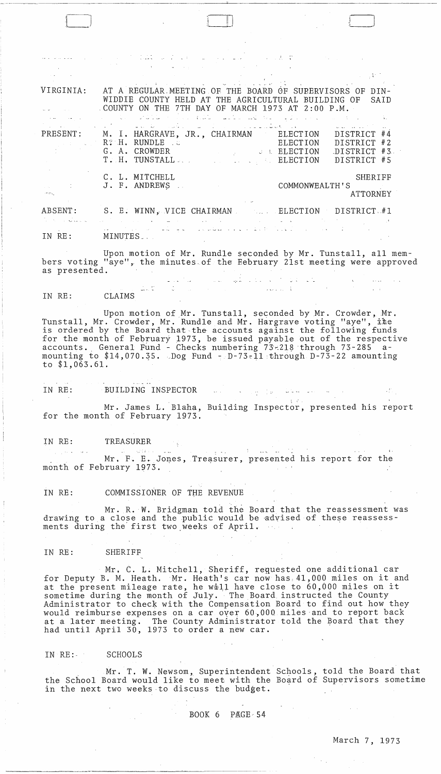أحيط البارد الموارد  $\label{eq:2} \mathcal{L} = \mathcal{L} \times \mathcal{L} \times \mathcal{L} \times \mathcal{L} \times \mathcal{L}$  $\mathcal{L}^{\text{max}}_{\text{max}}$ VIRGINIA: AT A REGULAR,MEETING OF THE BOARD GF SUBERVISORS OF DIN-WIDDIE COUNTY HELD AT THE AGRICULTURAL BUILDING OF SAID COUNTY ON THE 7TH DAY OF MARCH 1973 AT 2:00 P.M. M. I. HARGRAVE, JR., CHAIRMAN PRESENT: DISTRICT #4 ELECTION R?H. RUNDLE ELECTION DISTRICT #2 G. A. CROWDER ,DISTRICT #3 ,.: L **ELECTION**  T. H. TUNSTALL. ELECTION DISTRICT #5 C. L. MITCHELL **SHERIFF** J. F. ANDREWS COMMONWEALTH'S ATTORNEY ABSENT: S. E. WINN, VICE CHAIRMAN BLECTION DISTRICT #1  $\sim 10^{-10}$ 1996 - An Chengell المحافظ المنابي المنابي المملكة مواليات IN RE: MINUTES \_ ,

a di Barat di Santa Maria della Caratta di Santa della Caratta di Santa di Santa di Santa di Santa di Santa di<br>Santa di Santa di Santa di Santa di Santa di Santa di Santa di Santa di Santa di Santa di Santa di Santa di Sa

 $\Box$ 

Upon motion of Mr. Rundle seconded by Mr. Tunstall, all members voting "aye", the minutes of the February 21st meeting were approved as presented.  $\label{eq:2.1} \begin{split} \mathcal{L}_{\text{max}}(\mathbf{y}) & = \mathcal{L}(\mathbf{y}) + \mathcal{L}(\mathbf{y}) \\ & = \mathcal{L}(\mathbf{y}) + \mathcal{L}(\mathbf{y}) + \mathcal{L}(\mathbf{y}) + \mathcal{L}(\mathbf{y}) \\ & = \mathcal{L}(\mathbf{y}) + \mathcal{L}(\mathbf{y}) + \mathcal{L}(\mathbf{y}) + \mathcal{L}(\mathbf{y}) \\ & = \mathcal{L}(\mathbf{y}) + \mathcal{L}(\mathbf{y}) + \mathcal{L}(\mathbf{y}) + \mathcal{L}(\mathbf{y})$ 

 $\frac{1}{2} \sum_{i=1}^n \frac{1}{2} \sum_{j=1}^n \frac{1}{2} \sum_{j=1}^n \frac{1}{2} \sum_{j=1}^n \frac{1}{2} \sum_{j=1}^n \frac{1}{2} \sum_{j=1}^n \frac{1}{2} \sum_{j=1}^n \frac{1}{2} \sum_{j=1}^n \frac{1}{2} \sum_{j=1}^n \frac{1}{2} \sum_{j=1}^n \frac{1}{2} \sum_{j=1}^n \frac{1}{2} \sum_{j=1}^n \frac{1}{2} \sum_{j=1}^n \frac{1}{2} \sum_{j=$ 

الأعادة والمحادث والمتعاطف السمارات

 $\mathbb{Z} \cup \mathbb{C}$ IN RE: CLAIMS

Upon motion of Mr. Tunstall, seconded by Mr. Crowder, Mr. Tunstall, Mr. Crowder, Mr. Rundle and Mr. Hargrave voting "aye", ine is ordered by the Board that the accounts against the following funds for the month of February 1973, be issued payable out of the respective accounts. General Fund - Checks numbering  $73$ -218 through 73-285 amounting to  $$14,070.35.$  Dog Fund - D-73-11 through D-73-22 amounting to \$1,063.61.

IN RE: BUILDING INSPECTOR AND RESERVE TO A RESERVE THE RESERVE OF A RESERVE TO A RESERVE THE RESERVE OF A RESERVE TO A RESERVE THAT A RESERVE TO A RESERVE THAT A RESERVE THAT A RESERVE TO A RESERVE THAT A RESERVE THAT A RE

Mr. James L. Blaha, Building Inspector, presented his report for the month of February 1973.

IN RE: TREASURER<br>The second contract of the second contract of the second contract of the second contract of the second contract of

Mr. F. E. Jones, Treasurer, presented his report for the month of February 1973.

IN RE: COMMISSIONER OF THE REVENUE

Mr. R. W. Bridgman told the Board that the reassessment was drawing to a close and the public would be advised of these reassessments during the first two weeks of April.

IN RE: SHERIFF

Mr. C. L. Mitchell, Sheriff, requested one additional car for Deputy B. M. Heath. Mr. Heath's car now has,4l,000 miles on it and ror Deputy B. M. Heath. Mr. Heath's car how has 41,000 miles on it an<br>at the present mileage rate, he will have close to 60,000 miles on it sometime during the month of July. The Board instructed the County Administrator to check with the Compensation Board to find out how they would reimburse expenses on a car over 60,000 miles and to report back at a later meeting. The County Administrator told the Board that they had until April 30, 1973 to order a new car.

IN RE:- SCHOOLS

Mr. T. W. Newsom, Superintendent Schools, told the Board that the School Board would like to meet with the Board of Supervisors sometime in the next two weeks to discuss the budget.

 $\mathcal{O}(\mathcal{O}(\log n))$ 

BOOK  $6$  PAGE-54

 $\sim 10^{11}$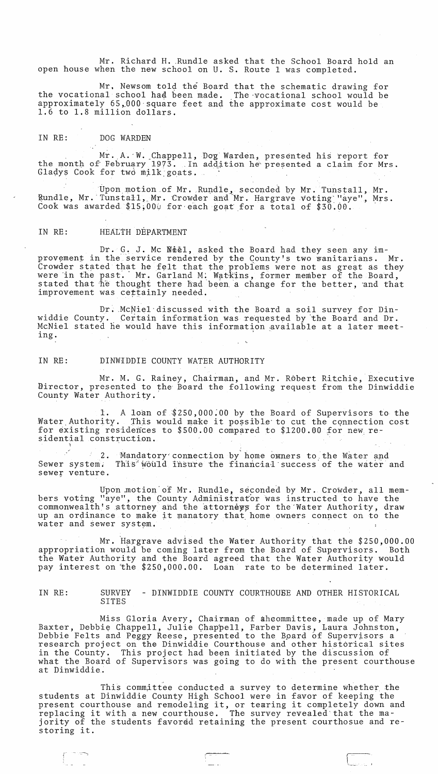Mr. Richard H. Rundle asked that the School Board hold an open house when the new school on U. S. Route 1 was completed.

Mr. Newsom told the Board that the schematic drawing for the vocational school haa been made. The ·vocationa1 school would be approximately 65,000 square feet and the approximate cost would be 1.6 to 1.8 million dollars.

## IN RE: DOG WARDEN

Mr. A. W. Chappell, Dog Warden, presented his report for the month of February 1973. In addition he presented a claim for Mrs. Gladys Cook for two milk goats.  $\blacksquare$ 

Upon motion of Mr. Rundle, seconded by Mr. Tunstall, Mr. Rundle, Mr. Tunstall, Mr. Crowder and Mr. Hargrave voting "aye", Mrs. Cook was awarded  $$15,000$  for each goat for a total of  $$30.00$ .

## IN RE: HEALTH DEPARTMENT

j" '.::--...,

Dr. G. J. Mc Neel, asked the Board had they seen any improvement in the service rendered by the County's two wanitarians. Mr. Crowder stated that he felt that the problems were not as great as they were in the past. Mr. Garland M: Watkins, former member of the Board, stated that he thought there had been a change for the better, and that improvement was cettainly needed.

Dr. McNiel discussed with the Board a soil survey for Dinwiddie County. Certain information was requested by the Board and Dr. McNiel stated he would have this information available at a later meet-<br>ing.

## IN RE: DINWiDDIE COUNTY WATER AUTHORITY

Mr. M. G. Rainey, Chairman, and Mr. Robert Ritchie, Executive Blirector, presented to the Board the following request from the Dinwiddie County Water Authority.

1. A loan of \$250,000.00 by the Board of Supervisors to the Water Authority. This would make it possible to cut the connection cost This would make it possible to cut the connection cost for existing residences to  $$500.00$  compared to  $$1200.00$  for new residential construction.

2. Mandatory connection by home owners to the Water and Sewer system. sewer venture. This world insure the financial success of the water and

Upon motion of Mr. Rundle, seconded by Mr. Crowder, all members voting "aye", the County Administrator was instructed to have the commonwealth's attorney and the attorneys for the Water Authority, draw bommonwearen b accorney and the accorney, is the mater naturity, dia. water and sewer system.

Mr. Hargrave advised the Water Authority that the \$250,000.00 appropriation would be coming later from the Board of Supervisors. Both the Water Authority and the Board agreed that the Water Authority would pay interest on the \$250,000.00. Loan rate to be determined later.

IN RE: SURVEY - DINWIDDIE COUNTY COURTHOUSE AND OTHER HISTORICAL SITES

Miss Gloria Avery, Chairman of aheommittee, made up of Mary Baxter, Debbie Chappell, Julie Chappell, Farber Davis, Laura Johnston, Debbie Felts and Peggy Reese, presented to the Bpard 6f Supervisors a research project on the Dinwiddie Courthouse and other historical sites in the County. This project had been initiated by the discussion of what the Board of Supervisors was going to do with the present courthouse at Dinwiddie.

This committee conducted a survey to determine whether the students at Dinwiddie County High School were in favor of keeping the students at Dinwiddle County High School were in favor of keeping the<br>present courthouse and remodeling it, or tearing it completely down and present courthouse and remodering it, or tearing it completely down a<br>replacing it with a new courthouse. The survey revealed that the majority of the students favordd retaining the present courthosue and restoring it.

t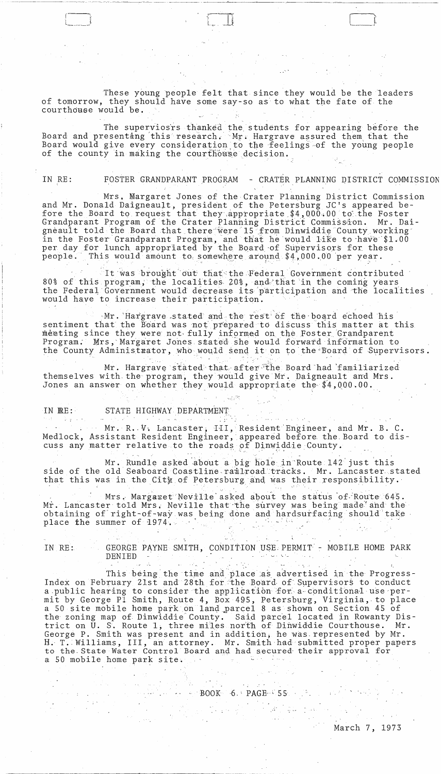These young people felt that since they would be the leaders of tomorrow, they should have some say-so as to what the fate of the courthouse would be.

The superviosrs thanked the students for appearing before the Board and presenting this research. Mr. Hargrave assured them that the Board would give every consideration to the feelings of the young people of the county in making the courthouse decision.

IN RE: FOSTER GRANDPARANT PROGRAM - CRATER PLANNING DISTRICT COMMISSION

Mrs. Margaret Jones of the Crater Planning District Commission and Mr. Donald Daigneault, president of the Petersburg JC's appeared be-<br>fore the Board to request that they appropriate \$4,000.00 to the Foster Grandparant Program of the Crater Planning District Commission. Mr. Daigneault told the Board that there were 15 from Dinwiddie County working in the Foster Grandparant Program, and that he would like to have \$1.00 per day for lunch appropriated by the Board of Supervisors for these This would amount to somewhere around \$4,000.00 per year.  $people.$ 

It was brought out that the Federal Government contributed 80% of this program, the localities 20%, and that in the coming years the Federal Government would decrease its participation and the localities would have to increase their participation.

Mr. Hargrave stated and the rest of the board echoed his sentiment that the Board was not prepared to discuss this matter at this meeting since they were not fully informed on the Foster Grandparent Program. Mrs, Margaret Jones stated she would forward information to the County Administrator, who would send it on to the Board of Supervisors.

Mr. Hargrave stated that after the Board had familiarized themselves with the program, they would give Mr. Daigneault and Mrs. Jones an answer on whether they would appropriate the \$4,000.00.

STATE HIGHWAY DEPARTMENT  $IN$   $RE:$ STATE HIGHWAY DEPARTMENT

Mr. R. V. Lancaster, III, Resident Engineer, and Mr. B. C.<br>Medlock, Assistant Resident Engineer, appeared before the Board to discuss any matter relative to the roads of Dinwiddie County.

Mr. Rundle asked about a big hole in Route 142 just this side of the old Seaboard Coastline railroad tracks. Mr. Lancaster stated that this was in the City of Petersburg and was their responsibility.

Mrs. Margaret Neville asked about the status of Route 645. Mr. Lancaster told Mrs. Neville that the survey was being made and the obtaining of right-of-way was being done and hardsurfacing should take il Lista place the summer of 1974. a<br>Tanggunian

 $\sim 30\%$ ارتی ہو۔ IN RE: GEORGE PAYNE SMITH, CONDITION USE PERMIT - MOBILE HOME PARK DENIED  $\mathcal{L}_{\mathcal{A}}$  , and the set of the set of the set of the set of  $\mathcal{A}_{\mathcal{A}}$ 

 $\sim 2\, \mu_{\rm c}$ 

 $\sim$   $\sim$ 

 $\label{eq:2} \mathcal{L}_{\mathcal{H}} = \left\{ \mathcal{L}_{\mathcal{H}} \left( \mathcal{L}_{\mathcal{H}} \right) \right\} \left( \mathcal{L}_{\mathcal{H}} \right)^{1/2}$ 

 $\mathcal{E}^{(1)}$  , where  $\mathcal{E}^{(1)}$  and  $\mathcal{E}^{(2)}$  are  $\mathcal{E}^{(3)}$   $\sim 100$ 

 $\mathcal{L}_{\mathcal{A}}$  ,  $\mathcal{L}_{\mathcal{A}}$  ,  $\mathcal{L}_{\mathcal{A}}$ This being the time and place as advertised in the Progress-Index on February 21st and 28th for the Board of Supervisors to conduct a public hearing to consider the application for a conditional use permit by George Pl Smith, Route 4, Box 495, Petersburg, Virginia, to place a 50 site mobile home park on land parcel 8 as shown on Section 45 of the zoning map of Dinwiddie County. Said parcel located in Rowanty District on U. S. Route 1, three miles north of Dinwiddie Courthouse. Mr. George P. Smith was present and in addition, he was represented by Mr. H. T. Williams, III, an attorney. Mr. Smith had submitted proper papers to the State Water Control Board and had secured their approval for a 50 mobile home park site. The same will be a serious of

 $\mathbb{E}[\mathbb{E}[\mathbb{E}[\mathbb{E}(\mathbb{E}[\mathbb{E}[\mathbb{E}[\mathbb{E}[\mathbb{E}[\mathbb{E}[\mathbb{E}[\mathbb{E}[\mathbb{E}[\mathbb{E}[\mathbb{E}[\mathbb{E}[\mathbb{E}[\mathbb{E}[\mathbb{E}[\mathbb{E}[\mathbb{E}[\mathbb{E}[\mathbb{E}[\mathbb{E}[\mathbb{E}[\mathbb{E}[\mathbb{E}[\mathbb{E}[\mathbb{E}[\mathbb{E}[\mathbb{E}[\mathbb{E}[\mathbb{E}[\mathbb{E}[\mathbb{E}[\mathbb{E}[\mathbb{$ 

 $\sim 10^{-10}$ 

 $\label{eq:2} \frac{1}{2}\sum_{i=1}^n\frac{1}{2\pi}\sum_{i=1}^n\frac{1}{2\pi\sqrt{2\pi}}\int_0^1\frac{1}{2\pi\sqrt{2\pi}}\frac{1}{2\pi\sqrt{2\pi}}\frac{1}{2\pi\sqrt{2\pi}}\frac{1}{2\pi\sqrt{2\pi}}\frac{1}{2\pi\sqrt{2\pi}}\frac{1}{2\pi\sqrt{2\pi}}\frac{1}{2\pi\sqrt{2\pi}}\frac{1}{2\pi\sqrt{2\pi}}\frac{1}{2\pi\sqrt{2\pi}}\frac{1}{2\pi\sqrt{2\pi}}\frac{1}{2\pi\sqrt$ 

 $2.11 \pm 0.03$